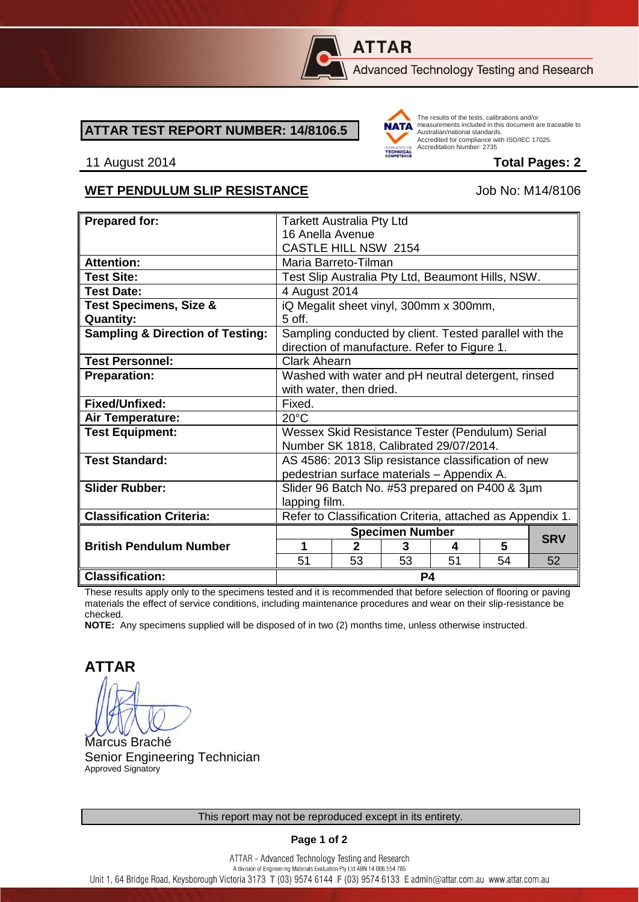

# **ATTAR**

Advanced Technology Testing and Research

#### **ATTAR TEST REPORT NUMBER: 14/8106.5**



The results of the tests, calibrations and/or measurements included in this document are traceable to Australian/national standards. Adstrational Midtonian Standards:<br>Accredited for compliance with ISO/IEC 17025. Accreditation Number: 2735

#### 11 August 2014 **Total Pages: 2**

#### WET PENDULUM SLIP RESISTANCE Job No: M14/8106

| <b>Prepared for:</b>                        | <b>Tarkett Australia Pty Ltd</b>                                                                       |              |    |    |    |            |
|---------------------------------------------|--------------------------------------------------------------------------------------------------------|--------------|----|----|----|------------|
|                                             | 16 Anella Avenue                                                                                       |              |    |    |    |            |
|                                             | <b>CASTLE HILL NSW 2154</b>                                                                            |              |    |    |    |            |
| <b>Attention:</b>                           | Maria Barreto-Tilman                                                                                   |              |    |    |    |            |
| <b>Test Site:</b>                           | Test Slip Australia Pty Ltd, Beaumont Hills, NSW.                                                      |              |    |    |    |            |
| <b>Test Date:</b>                           | 4 August 2014                                                                                          |              |    |    |    |            |
| <b>Test Specimens, Size &amp;</b>           | iQ Megalit sheet vinyl, 300mm x 300mm,                                                                 |              |    |    |    |            |
| <b>Quantity:</b>                            | $5$ off.                                                                                               |              |    |    |    |            |
| <b>Sampling &amp; Direction of Testing:</b> | Sampling conducted by client. Tested parallel with the<br>direction of manufacture. Refer to Figure 1. |              |    |    |    |            |
| <b>Test Personnel:</b>                      | <b>Clark Ahearn</b>                                                                                    |              |    |    |    |            |
| <b>Preparation:</b>                         | Washed with water and pH neutral detergent, rinsed                                                     |              |    |    |    |            |
|                                             | with water, then dried.                                                                                |              |    |    |    |            |
| Fixed/Unfixed:                              | Fixed.                                                                                                 |              |    |    |    |            |
| Air Temperature:                            | $20^{\circ}$ C                                                                                         |              |    |    |    |            |
| <b>Test Equipment:</b>                      | Wessex Skid Resistance Tester (Pendulum) Serial                                                        |              |    |    |    |            |
|                                             | Number SK 1818, Calibrated 29/07/2014.                                                                 |              |    |    |    |            |
| <b>Test Standard:</b>                       | AS 4586: 2013 Slip resistance classification of new                                                    |              |    |    |    |            |
|                                             | pedestrian surface materials - Appendix A.                                                             |              |    |    |    |            |
| <b>Slider Rubber:</b>                       | Slider 96 Batch No. #53 prepared on P400 & 3µm                                                         |              |    |    |    |            |
|                                             | lapping film.                                                                                          |              |    |    |    |            |
| <b>Classification Criteria:</b>             | Refer to Classification Criteria, attached as Appendix 1.                                              |              |    |    |    |            |
|                                             | <b>Specimen Number</b>                                                                                 |              |    |    |    | <b>SRV</b> |
| <b>British Pendulum Number</b>              | 1                                                                                                      | $\mathbf{2}$ | 3  | 4  | 5  |            |
|                                             | 51                                                                                                     | 53           | 53 | 51 | 54 | 52         |
| <b>Classification:</b>                      | P4                                                                                                     |              |    |    |    |            |

These results apply only to the specimens tested and it is recommended that before selection of flooring or paving materials the effect of service conditions, including maintenance procedures and wear on their slip-resistance be checked.

**NOTE:** Any specimens supplied will be disposed of in two (2) months time, unless otherwise instructed.

**ATTAR**

Marcus Braché Senior Engineering Technician Approved Signatory